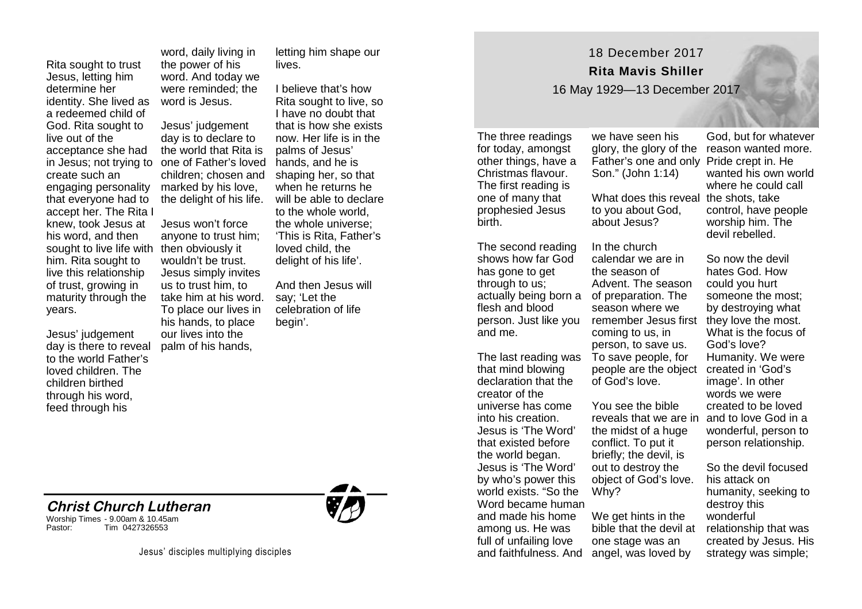Rita sought to trust Jesus, letting him determine her identity. She lived as a redeemed child of God. Rita sought to live out of the acceptance she had in Jesus; not trying to create such an engaging personality that everyone had to accept her. The Rita I knew, took Jesus at his word, and then sought to live life with then obviously it him. Rita sought to live this relationship of trust, growing in maturity through the years.

Jesus' judgement day is there to reveal to the world Father's loved children. The children birthed through his word, feed through his

**Christ Church Lutheran**

Tim 0427326553

Worship Times - 9.00am & 10.45am

word, daily living in the power of his word. And today we were reminded; the word is Jesus.

Jesus' judgement day is to declare to the world that Rita is one of Father's loved children; chosen and marked by his love, the delight of his life.

Jesus won't force anyone to trust him; wouldn't be trust. Jesus simply invites us to trust him, to take him at his word. To place our lives in his hands, to place our lives into the palm of his hands,

letting him shape our **lives** 

I believe that's how Rita sought to live, so I have no doubt that that is how she exists now. Her life is in the palms of Jesus' hands, and he is shaping her, so that when he returns he will be able to declare to the whole world, the whole universe; 'This is Rita, Father's loved child, the delight of his life'.

And then Jesus will say; 'Let the celebration of life begin'.

18 December 2017 **Rita Mavis Shiller**

16 May 1929—13 December 2017

The three readings for today, amongst other things, have a Christmas flavour. The first reading is one of many that prophesied Jesus birth.

The second reading shows how far God has gone to get through to us; actually being born a flesh and blood person. Just like you and me.

The last reading was that mind blowing declaration that the creator of the universe has come into his creation. Jesus is 'The Word' that existed before the world began. Jesus is 'The Word' by who's power this world exists. "So the Word became human and made his home among us. He was full of unfailing love and faithfulness. And

Father's one and only Pride crept in. He Son." (John 1:14) What does this reveal the shots, take

we have seen his

to you about God, about Jesus?

In the church calendar we are in the season of Advent. The season of preparation. The season where we remember Jesus first they love the most. coming to us, in person, to save us. To save people, for people are the object created in 'God's of God's love.

You see the bible reveals that we are in and to love God in a the midst of a huge conflict. To put it briefly; the devil, is out to destroy the object of God's love. Why?

We get hints in the bible that the devil at one stage was an angel, was loved by

glory, the glory of the reason wanted more. God, but for whatever wanted his own world where he could call control, have people worship him. The devil rebelled.

> So now the devil hates God. How could you hurt someone the most; by destroying what What is the focus of God's love? Humanity. We were image'. In other words we were created to be loved wonderful, person to person relationship.

So the devil focused his attack on humanity, seeking to destroy this wonderful relationship that was created by Jesus. His strategy was simple;